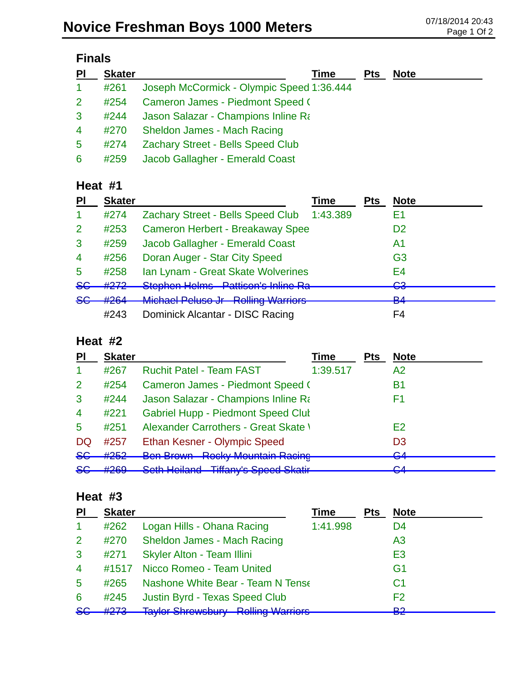| $\overline{P}$ | <b>Skater</b> | Time                                      | <b>Pts</b> | <b>Note</b> |
|----------------|---------------|-------------------------------------------|------------|-------------|
| $\mathbf{1}$   | #261          | Joseph McCormick - Olympic Speed 1:36.444 |            |             |
| $\overline{2}$ | #254          | Cameron James - Piedmont Speed (          |            |             |
| 3              | #244          | Jason Salazar - Champions Inline Ra       |            |             |
| $\overline{4}$ | #270          | Sheldon James - Mach Racing               |            |             |
| 5              | #274          | <b>Zachary Street - Bells Speed Club</b>  |            |             |
| 6              | #259          | Jacob Gallagher - Emerald Coast           |            |             |

### **Heat #1**

| <b>PI</b>      | <b>Skater</b> |                                           | Time     | <b>Pts</b> | <b>Note</b>                   |
|----------------|---------------|-------------------------------------------|----------|------------|-------------------------------|
| $\mathbf 1$    | #274          | Zachary Street - Bells Speed Club         | 1:43.389 |            | E1                            |
| $\overline{2}$ | #253          | <b>Cameron Herbert - Breakaway Spee</b>   |          |            | D2                            |
| 3              | #259          | Jacob Gallagher - Emerald Coast           |          |            | A1                            |
| $\overline{4}$ | #256          | Doran Auger - Star City Speed             |          |            | G <sub>3</sub>                |
| 5              | #258          | Ian Lynam - Great Skate Wolverines        |          |            | E4                            |
| <del>SG</del>  | #272          | <b>Stephen Helms Pattison's Inline Ra</b> |          |            | ⌒っ<br>$\overline{\mathbf{v}}$ |
| <del>SG</del>  | #264          | <b>Michael Peluse Jr Rolling Warriors</b> |          |            | D <sub>A</sub><br>▱           |
|                | #243          | Dominick Alcantar - DISC Racing           |          |            | F4                            |

### **Heat #2**

| PI             | <b>Skater</b>     |                                                                                              | Time     | Pts | <b>Note</b>         |
|----------------|-------------------|----------------------------------------------------------------------------------------------|----------|-----|---------------------|
|                | #267              | <b>Ruchit Patel - Team FAST</b>                                                              | 1:39.517 |     | A2                  |
| $\overline{2}$ | #254              | Cameron James - Piedmont Speed (                                                             |          |     | B <sub>1</sub>      |
| 3              | #244              | Jason Salazar - Champions Inline Ra                                                          |          |     | F1                  |
| $\overline{4}$ | #221              | <b>Gabriel Hupp - Piedmont Speed Clut</b>                                                    |          |     |                     |
| 5              | #251              | <b>Alexander Carrothers - Great Skate \</b>                                                  |          |     | E <sub>2</sub>      |
| DQ             | #257              | Ethan Kesner - Olympic Speed                                                                 |          |     | D <sub>3</sub>      |
| <del>SG</del>  | #252              | <b>Ben Brown - Rocky Mountain Racing</b>                                                     |          |     | $\Omega$<br>ॼॸ      |
| <del>SG</del>  | HORO<br>$\pi$ zuj | Cath Hailand Tiffany's Chand Cleatir<br><u>UUtti Tunana</u><br><del>rmany o Opoca Okam</del> |          |     | $\mathcal{L}$<br>ॼॸ |

### **Heat #3**

| <b>PI</b>      | <b>Skater</b> |                                           | <b>Time</b> | <b>Pts</b> | <b>Note</b>    |
|----------------|---------------|-------------------------------------------|-------------|------------|----------------|
| $\mathbf{1}$   | #262          | Logan Hills - Ohana Racing                | 1:41.998    |            | D <sub>4</sub> |
| 2              |               | #270 Sheldon James - Mach Racing          |             |            | A <sub>3</sub> |
| $\mathbf{3}$   | #271          | <b>Skyler Alton - Team Illini</b>         |             |            | E <sub>3</sub> |
| $\overline{4}$ | #1517         | Nicco Romeo - Team United                 |             |            | G <sub>1</sub> |
| $\sqrt{5}$     | #265          | Nashone White Bear - Team N Tense         |             |            | C <sub>1</sub> |
| 6              | #245          | <b>Justin Byrd - Texas Speed Club</b>     |             |            | F <sub>2</sub> |
| $5$            |               | #273 Taylor Shrewsbury - Rolling Warriors |             |            | ∩ים<br>--      |
|                |               |                                           |             |            |                |